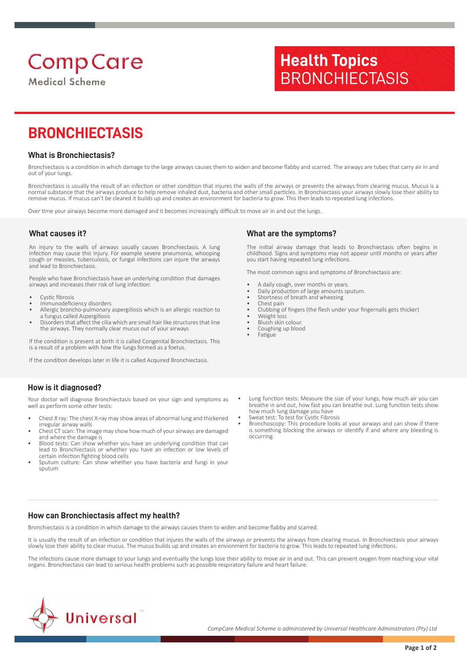# **Comp Care**

**Medical Scheme** 

# **BRONCHIECTASIS**

#### **What is Bronchiectasis?**

Bronchiectasis is a condition in which damage to the large airways causes them to widen and become flabby and scarred. The airways are tubes that carry air in and out of your lungs.

Bronchiectasis is usually the result of an infection or other condition that injures the walls of the airways or prevents the airways from clearing mucus. Mucus is a normal substance that the airways produce to help remove inhaled dust, bacteria and other small particles. In Bronchiectasis your airways slowly lose their ability to remove mucus. If mucus can't be cleared it builds up and creates an environment for bacteria to grow. This then leads to repeated lung infections.

Over time your airways become more damaged and it becomes increasingly difficult to move air in and out the lungs.

#### **What causes it?**

An injury to the walls of airways usually causes Bronchiectasis. A lung infection may cause this injury. For example severe pneumonia, whooping cough or measles, tuberculosis, or fungal infections can injure the airways and lead to Bronchiectasis.

People who have Bronchiectasis have an underlying condition that damages airways and increases their risk of lung infection:

- Cystic fibrosis
- Immunodeficiency disorders
- Allergic broncho-pulmonary aspergillosis which is an allergic reaction to a fungus called Aspergillosis
- Disorders that affect the cilia which are small hair like structures that line the airways. They normally clear mucus out of your airways

If the condition is present at birth it is called Congenital Bronchiectasis. This is a result of a problem with how the lungs formed as a foetus.

If the condition develops later in life it is called Acquired Bronchiectasis.

### **How is it diagnosed?**

Your doctor will diagnose Bronchiectasis based on your sign and symptoms as well as perform some other tests:

- Chest X ray: The chest X-ray may show areas of abnormal lung and thickened irregular airway walls
- Chest CT scan: The image may show how much of your airways are damaged and where the damage is
- Blood tests: Can show whether you have an underlying condition that can lead to Bronchiectasis or whether you have an infection or low levels of certain infection fighting blood cells
- Sputum culture: Can show whether you have bacteria and fungi in your sputum

#### **What are the symptoms?**

The initial airway damage that leads to Bronchiectasis often begins in childhood. Signs and symptoms may not appear until months or years after you start having repeated lung infections.

The most common signs and symptoms of Bronchiectasis are:

**Health Topics**

**BRONCHIECTASIS** 

- A daily cough, over months or years.
- Daily production of large amounts sputum.
- Shortness of breath and wheezing
- Chest pain
- Clubbing of fingers (the flesh under your fingernails gets thicker)
- Weight loss
- Bluish skin colour. Coughing up blood
- Fatigue
- Lung function tests: Measure the size of your lungs, how much air you can breathe in and out, how fast you can breathe out. Lung function tests show how much lung damage you have
- Sweat test: To test for Cystic Fibrosis
- Bronchoscopy: This procedure looks at your airways and can show if there is something blocking the airways or identify if and where any bleeding is occurring

#### **How can Bronchiectasis affect my health?**

Bronchiectasis is a condition in which damage to the airways causes them to widen and become flabby and scarred.

It is usually the result of an infection or condition that injures the walls of the airways or prevents the airways from clearing mucus. In Bronchiectasis your airways slowly lose their ability to clear mucus. The mucus builds up and creates an envionment for bacteria to grow. This leads to repeated lung infections.

The infections cause more damage to your lungs and eventually the lungs lose their ability to move air in and out. This can prevent oxygen from reaching your vital organs. Bronchiectasis can lead to serious health problems such as possible respiratory failure and heart failure.